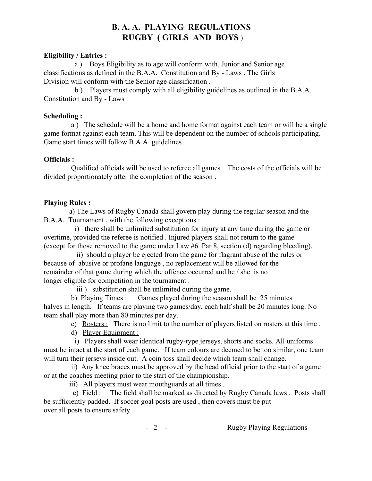# **B. A. A. PLAYING REGULATIONS RUGBY ( GIRLS AND BOYS**)

## **Eligibility / Entries :**

a ) Boys Eligibility as to age will conform with, Junior and Senior age classifications as defined in the B.A.A. Constitution and By Laws . The Girls Division will conform with the Senior age classification .

b ) Players must comply with all eligibility guidelines as outlined in the B.A.A. Constitution and By - Laws.

## **Scheduling :**

a ) The schedule will be a home and home format against each team or will be a single game format against each team. This will be dependent on the number of schools participating. Game start times will follow B.A.A. guidelines .

#### **Officials :**

Qualified officials will be used to referee all games . The costs of the officials will be divided proportionately after the completion of the season .

## **Playing Rules :**

a) The Laws of Rugby Canada shall govern play during the regular season and the B.A.A. Tournament , with the following exceptions :

i) there shall be unlimited substitution for injury at any time during the game or overtime, provided the referee is notified . Injured players shall not return to the game (except for those removed to the game under Law #6 Par 8, section (d) regarding bleeding).

ii) should a player be ejected from the game for flagrant abuse of the rules or because of abusive or profane language , no replacement will be allowed for the remainder of that game during which the offence occurred and he / she is no longer eligible for competition in the tournament .

iii ) substitution shall be unlimited during the game.

b) Playing Times : Games played during the season shall be 25 minutes halves in length. If teams are playing two games/day, each half shall be 20 minutes long. No team shall play more than 80 minutes per day.

c) Rosters : There is no limit to the number of players listed on rosters at this time .

d) Player Equipment :

i) Players shall wear identical rugby-type jerseys, shorts and socks. All uniforms must be intact at the start of each game. If team colours are deemed to be too similar, one team will turn their jerseys inside out. A coin toss shall decide which team shall change.

ii) Any knee braces must be approved by the head official prior to the start of a game or at the coaches meeting prior to the start of the championship.

iii) All players must wear mouthguards at all times .

e) Field : The field shall be marked as directed by Rugby Canada laws . Posts shall be sufficiently padded. If soccer goal posts are used , then covers must be put over all posts to ensure safety .

- 2 - Rugby Playing Regulations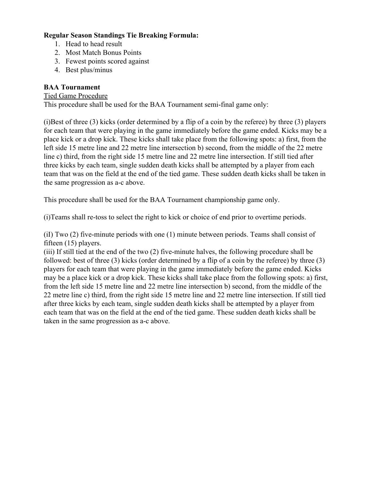# **Regular Season Standings Tie Breaking Formula:**

- 1. Head to head result
- 2. Most Match Bonus Points
- 3. Fewest points scored against
- 4. Best plus/minus

# **BAA Tournament**

#### Tied Game Procedure

This procedure shall be used for the BAA Tournament semi-final game only:

(i)Best of three (3) kicks (order determined by a flip of a coin by the referee) by three (3) players for each team that were playing in the game immediately before the game ended. Kicks may be a place kick or a drop kick. These kicks shall take place from the following spots: a) first, from the left side 15 metre line and 22 metre line intersection b) second, from the middle of the 22 metre line c) third, from the right side 15 metre line and 22 metre line intersection. If still tied after three kicks by each team, single sudden death kicks shall be attempted by a player from each team that was on the field at the end of the tied game. These sudden death kicks shall be taken in the same progression as a-c above.

This procedure shall be used for the BAA Tournament championship game only.

(i)Teams shall re-toss to select the right to kick or choice of end prior to overtime periods.

(iI) Two  $(2)$  five-minute periods with one  $(1)$  minute between periods. Teams shall consist of fifteen (15) players.

(iii) If still tied at the end of the two  $(2)$  five-minute halves, the following procedure shall be followed: best of three (3) kicks (order determined by a flip of a coin by the referee) by three (3) players for each team that were playing in the game immediately before the game ended. Kicks may be a place kick or a drop kick. These kicks shall take place from the following spots: a) first, from the left side 15 metre line and 22 metre line intersection b) second, from the middle of the 22 metre line c) third, from the right side 15 metre line and 22 metre line intersection. If still tied after three kicks by each team, single sudden death kicks shall be attempted by a player from each team that was on the field at the end of the tied game. These sudden death kicks shall be taken in the same progression as a-c above.